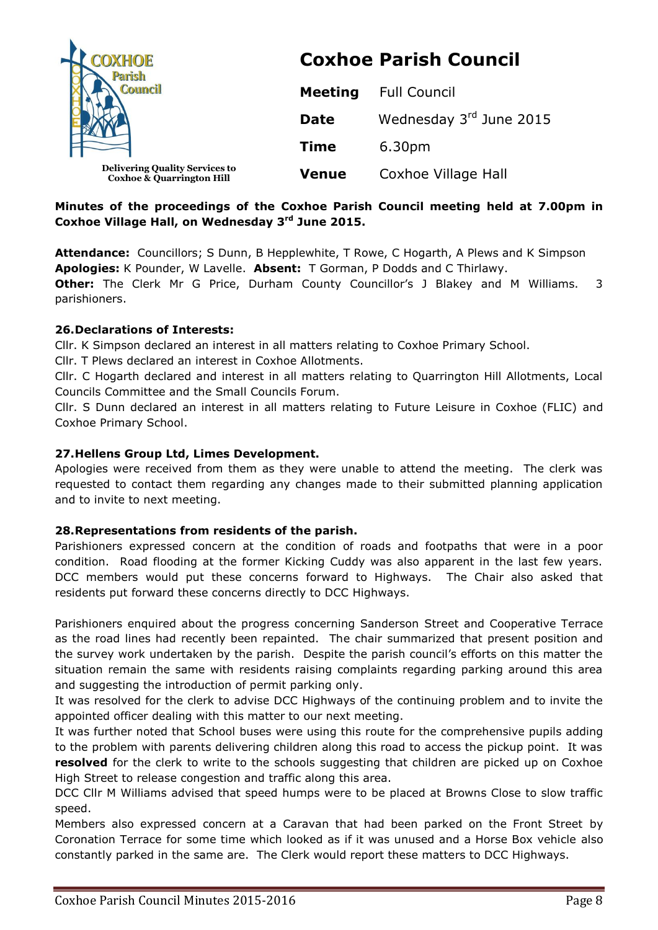| OXHOE<br><b>Council</b>                                                       | <b>Coxhoe Parish Council</b> |                         |  |
|-------------------------------------------------------------------------------|------------------------------|-------------------------|--|
|                                                                               | <b>Meeting</b>               | <b>Full Council</b>     |  |
|                                                                               | <b>Date</b>                  | Wednesday 3rd June 2015 |  |
|                                                                               | <b>Time</b>                  | 6.30pm                  |  |
| <b>Delivering Quality Services to</b><br><b>Coxhoe &amp; Quarrington Hill</b> | <b>Venue</b>                 | Coxhoe Village Hall     |  |

# **Minutes of the proceedings of the Coxhoe Parish Council meeting held at 7.00pm in Coxhoe Village Hall, on Wednesday 3 rd June 2015.**

**Attendance:** Councillors; S Dunn, B Hepplewhite, T Rowe, C Hogarth, A Plews and K Simpson **Apologies:** K Pounder, W Lavelle. **Absent:** T Gorman, P Dodds and C Thirlawy. **Other:** The Clerk Mr G Price, Durham County Councillor's J Blakey and M Williams. 3 parishioners.

## **26.Declarations of Interests:**

Cllr. K Simpson declared an interest in all matters relating to Coxhoe Primary School.

Cllr. T Plews declared an interest in Coxhoe Allotments.

Cllr. C Hogarth declared and interest in all matters relating to Quarrington Hill Allotments, Local Councils Committee and the Small Councils Forum.

Cllr. S Dunn declared an interest in all matters relating to Future Leisure in Coxhoe (FLIC) and Coxhoe Primary School.

## **27.Hellens Group Ltd, Limes Development.**

Apologies were received from them as they were unable to attend the meeting. The clerk was requested to contact them regarding any changes made to their submitted planning application and to invite to next meeting.

## **28.Representations from residents of the parish.**

Parishioners expressed concern at the condition of roads and footpaths that were in a poor condition. Road flooding at the former Kicking Cuddy was also apparent in the last few years. DCC members would put these concerns forward to Highways. The Chair also asked that residents put forward these concerns directly to DCC Highways.

Parishioners enquired about the progress concerning Sanderson Street and Cooperative Terrace as the road lines had recently been repainted. The chair summarized that present position and the survey work undertaken by the parish. Despite the parish council's efforts on this matter the situation remain the same with residents raising complaints regarding parking around this area and suggesting the introduction of permit parking only.

It was resolved for the clerk to advise DCC Highways of the continuing problem and to invite the appointed officer dealing with this matter to our next meeting.

It was further noted that School buses were using this route for the comprehensive pupils adding to the problem with parents delivering children along this road to access the pickup point. It was **resolved** for the clerk to write to the schools suggesting that children are picked up on Coxhoe High Street to release congestion and traffic along this area.

DCC Cllr M Williams advised that speed humps were to be placed at Browns Close to slow traffic speed.

Members also expressed concern at a Caravan that had been parked on the Front Street by Coronation Terrace for some time which looked as if it was unused and a Horse Box vehicle also constantly parked in the same are. The Clerk would report these matters to DCC Highways.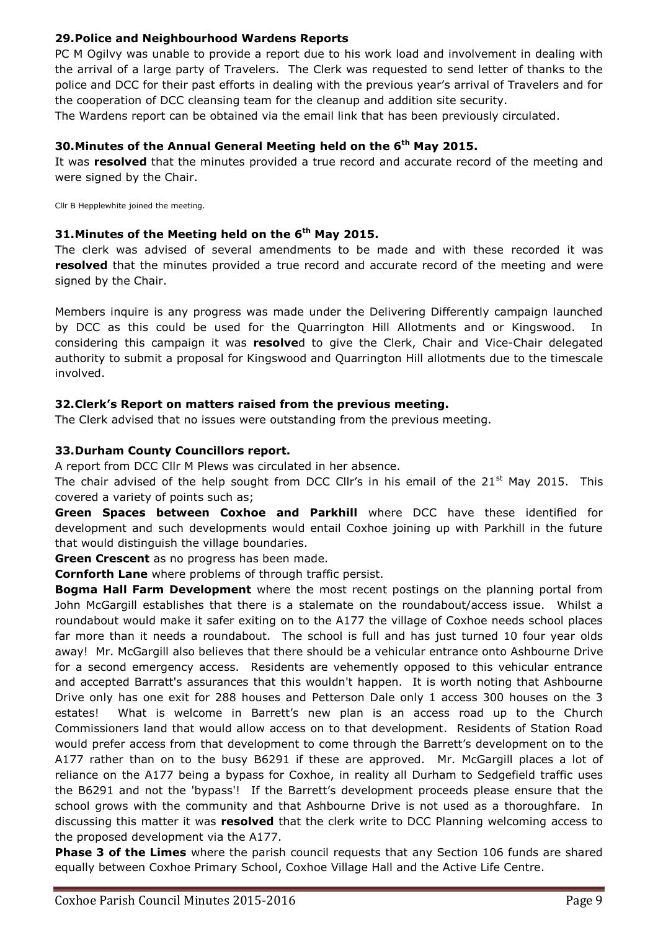## **29.Police and Neighbourhood Wardens Reports**

PC M Ogilvy was unable to provide a report due to his work load and involvement in dealing with the arrival of a large party of Travelers. The Clerk was requested to send letter of thanks to the police and DCC for their past efforts in dealing with the previous year's arrival of Travelers and for the cooperation of DCC cleansing team for the cleanup and addition site security.

The Wardens report can be obtained via the email link that has been previously circulated.

## **30.Minutes of the Annual General Meeting held on the 6 th May 2015.**

It was **resolved** that the minutes provided a true record and accurate record of the meeting and were signed by the Chair.

Cllr B Hepplewhite joined the meeting.

## **31.Minutes of the Meeting held on the 6 th May 2015.**

The clerk was advised of several amendments to be made and with these recorded it was **resolved** that the minutes provided a true record and accurate record of the meeting and were signed by the Chair.

Members inquire is any progress was made under the Delivering Differently campaign launched by DCC as this could be used for the Quarrington Hill Allotments and or Kingswood. In considering this campaign it was **resolve**d to give the Clerk, Chair and Vice-Chair delegated authority to submit a proposal for Kingswood and Quarrington Hill allotments due to the timescale involved.

## **32.Clerk's Report on matters raised from the previous meeting.**

The Clerk advised that no issues were outstanding from the previous meeting.

## **33.Durham County Councillors report.**

A report from DCC Cllr M Plews was circulated in her absence.

The chair advised of the help sought from DCC Cllr's in his email of the  $21<sup>st</sup>$  May 2015. This covered a variety of points such as;

**Green Spaces between Coxhoe and Parkhill** where DCC have these identified for development and such developments would entail Coxhoe joining up with Parkhill in the future that would distinguish the village boundaries.

**Green Crescent** as no progress has been made.

**Cornforth Lane** where problems of through traffic persist.

**Bogma Hall Farm Development** where the most recent postings on the planning portal from John McGargill establishes that there is a stalemate on the roundabout/access issue. Whilst a roundabout would make it safer exiting on to the A177 the village of Coxhoe needs school places far more than it needs a roundabout. The school is full and has just turned 10 four year olds away! Mr. McGargill also believes that there should be a vehicular entrance onto Ashbourne Drive for a second emergency access. Residents are vehemently opposed to this vehicular entrance and accepted Barratt's assurances that this wouldn't happen. It is worth noting that Ashbourne Drive only has one exit for 288 houses and Petterson Dale only 1 access 300 houses on the 3 estates! What is welcome in Barrett's new plan is an access road up to the Church Commissioners land that would allow access on to that development. Residents of Station Road would prefer access from that development to come through the Barrett's development on to the A177 rather than on to the busy B6291 if these are approved. Mr. McGargill places a lot of reliance on the A177 being a bypass for Coxhoe, in reality all Durham to Sedgefield traffic uses the B6291 and not the 'bypass'! If the Barrett's development proceeds please ensure that the school grows with the community and that Ashbourne Drive is not used as a thoroughfare. In discussing this matter it was **resolved** that the clerk write to DCC Planning welcoming access to the proposed development via the A177.

**Phase 3 of the Limes** where the parish council requests that any Section 106 funds are shared equally between Coxhoe Primary School, Coxhoe Village Hall and the Active Life Centre.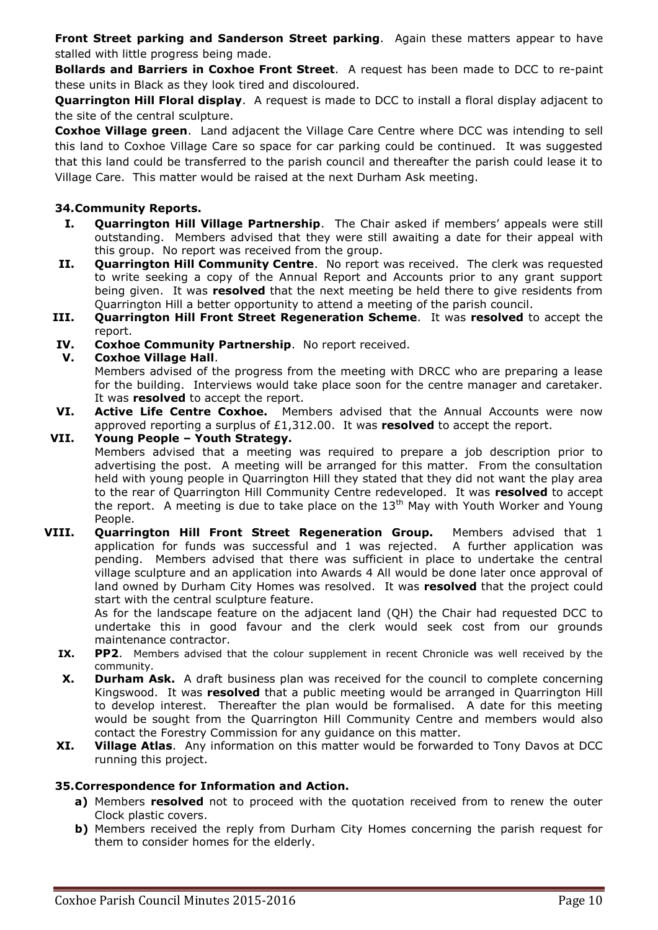**Front Street parking and Sanderson Street parking.** Again these matters appear to have stalled with little progress being made.

**Bollards and Barriers in Coxhoe Front Street**. A request has been made to DCC to re-paint these units in Black as they look tired and discoloured.

**Quarrington Hill Floral display**. A request is made to DCC to install a floral display adjacent to the site of the central sculpture.

**Coxhoe Village green**. Land adjacent the Village Care Centre where DCC was intending to sell this land to Coxhoe Village Care so space for car parking could be continued. It was suggested that this land could be transferred to the parish council and thereafter the parish could lease it to Village Care. This matter would be raised at the next Durham Ask meeting.

# **34.Community Reports.**

- **I. Quarrington Hill Village Partnership**. The Chair asked if members' appeals were still outstanding. Members advised that they were still awaiting a date for their appeal with this group. No report was received from the group.
- **II. Quarrington Hill Community Centre**. No report was received. The clerk was requested to write seeking a copy of the Annual Report and Accounts prior to any grant support being given. It was **resolved** that the next meeting be held there to give residents from Quarrington Hill a better opportunity to attend a meeting of the parish council.
- **III. Quarrington Hill Front Street Regeneration Scheme**. It was **resolved** to accept the report.
- **IV. Coxhoe Community Partnership**. No report received.

## **V. Coxhoe Village Hall**.

Members advised of the progress from the meeting with DRCC who are preparing a lease for the building. Interviews would take place soon for the centre manager and caretaker. It was **resolved** to accept the report.

**VI. Active Life Centre Coxhoe.** Members advised that the Annual Accounts were now approved reporting a surplus of £1,312.00. It was **resolved** to accept the report.

#### **VII. Young People – Youth Strategy.**

Members advised that a meeting was required to prepare a job description prior to advertising the post. A meeting will be arranged for this matter. From the consultation held with young people in Quarrington Hill they stated that they did not want the play area to the rear of Quarrington Hill Community Centre redeveloped. It was **resolved** to accept the report. A meeting is due to take place on the  $13<sup>th</sup>$  May with Youth Worker and Young People.

**VIII. Quarrington Hill Front Street Regeneration Group.** Members advised that 1 application for funds was successful and 1 was rejected. A further application was pending. Members advised that there was sufficient in place to undertake the central village sculpture and an application into Awards 4 All would be done later once approval of land owned by Durham City Homes was resolved. It was **resolved** that the project could start with the central sculpture feature.

As for the landscape feature on the adjacent land (QH) the Chair had requested DCC to undertake this in good favour and the clerk would seek cost from our grounds maintenance contractor.

- **IX. PP2**. Members advised that the colour supplement in recent Chronicle was well received by the community.
- **X. Durham Ask.** A draft business plan was received for the council to complete concerning Kingswood. It was **resolved** that a public meeting would be arranged in Quarrington Hill to develop interest. Thereafter the plan would be formalised. A date for this meeting would be sought from the Quarrington Hill Community Centre and members would also contact the Forestry Commission for any guidance on this matter.
- **XI. Village Atlas**. Any information on this matter would be forwarded to Tony Davos at DCC running this project.

## **35.Correspondence for Information and Action.**

- **a)** Members **resolved** not to proceed with the quotation received from to renew the outer Clock plastic covers.
- **b)** Members received the reply from Durham City Homes concerning the parish request for them to consider homes for the elderly.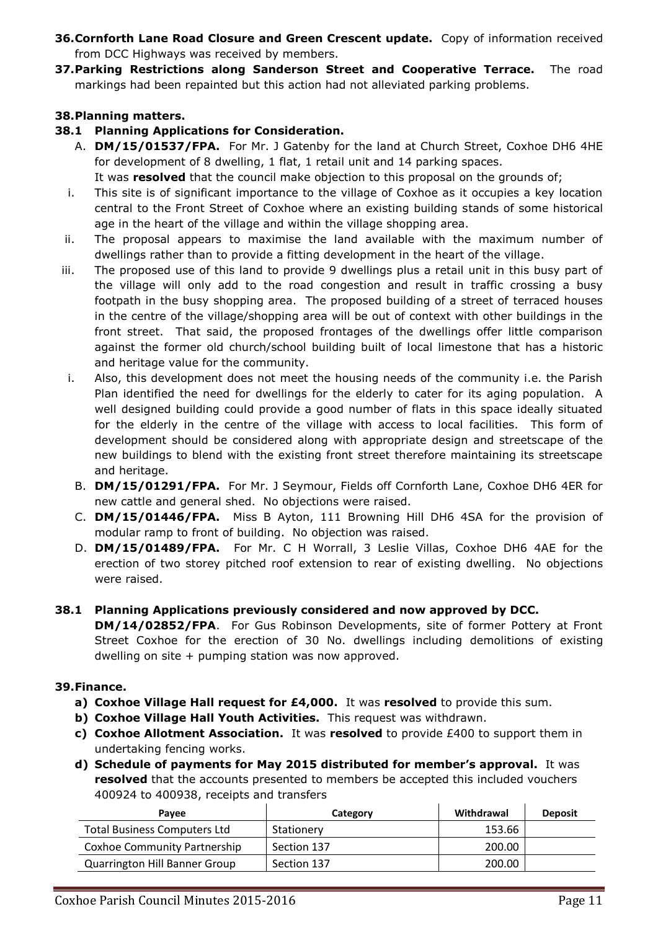- **36.Cornforth Lane Road Closure and Green Crescent update.** Copy of information received from DCC Highways was received by members.
- **37.Parking Restrictions along Sanderson Street and Cooperative Terrace.** The road markings had been repainted but this action had not alleviated parking problems.

# **38.Planning matters.**

## **38.1 Planning Applications for Consideration.**

- A. **DM/15/01537/FPA.** For Mr. J Gatenby for the land at Church Street, Coxhoe DH6 4HE for development of 8 dwelling, 1 flat, 1 retail unit and 14 parking spaces. It was **resolved** that the council make objection to this proposal on the grounds of;
- i. This site is of significant importance to the village of Coxhoe as it occupies a key location central to the Front Street of Coxhoe where an existing building stands of some historical age in the heart of the village and within the village shopping area.
- ii. The proposal appears to maximise the land available with the maximum number of dwellings rather than to provide a fitting development in the heart of the village.
- iii. The proposed use of this land to provide 9 dwellings plus a retail unit in this busy part of the village will only add to the road congestion and result in traffic crossing a busy footpath in the busy shopping area. The proposed building of a street of terraced houses in the centre of the village/shopping area will be out of context with other buildings in the front street. That said, the proposed frontages of the dwellings offer little comparison against the former old church/school building built of local limestone that has a historic and heritage value for the community.
- i. Also, this development does not meet the housing needs of the community i.e. the Parish Plan identified the need for dwellings for the elderly to cater for its aging population. A well designed building could provide a good number of flats in this space ideally situated for the elderly in the centre of the village with access to local facilities. This form of development should be considered along with appropriate design and streetscape of the new buildings to blend with the existing front street therefore maintaining its streetscape and heritage.
	- B. **DM/15/01291/FPA.** For Mr. J Seymour, Fields off Cornforth Lane, Coxhoe DH6 4ER for new cattle and general shed. No objections were raised.
	- C. **DM/15/01446/FPA.** Miss B Ayton, 111 Browning Hill DH6 4SA for the provision of modular ramp to front of building. No objection was raised.
	- D. **DM/15/01489/FPA.** For Mr. C H Worrall, 3 Leslie Villas, Coxhoe DH6 4AE for the erection of two storey pitched roof extension to rear of existing dwelling. No objections were raised.

## **38.1 Planning Applications previously considered and now approved by DCC. DM/14/02852/FPA**. For Gus Robinson Developments, site of former Pottery at Front Street Coxhoe for the erection of 30 No. dwellings including demolitions of existing dwelling on site + pumping station was now approved.

## **39.Finance.**

- **a) Coxhoe Village Hall request for £4,000.** It was **resolved** to provide this sum.
- **b) Coxhoe Village Hall Youth Activities.** This request was withdrawn.
- **c) Coxhoe Allotment Association.** It was **resolved** to provide £400 to support them in undertaking fencing works.
- **d) Schedule of payments for May 2015 distributed for member's approval.** It was **resolved** that the accounts presented to members be accepted this included vouchers 400924 to 400938, receipts and transfers

| Pavee                                | Category    | Withdrawal | <b>Deposit</b> |
|--------------------------------------|-------------|------------|----------------|
| <b>Total Business Computers Ltd</b>  | Stationery  | 153.66     |                |
| Coxhoe Community Partnership         | Section 137 | 200.00     |                |
| <b>Quarrington Hill Banner Group</b> | Section 137 | 200.00     |                |